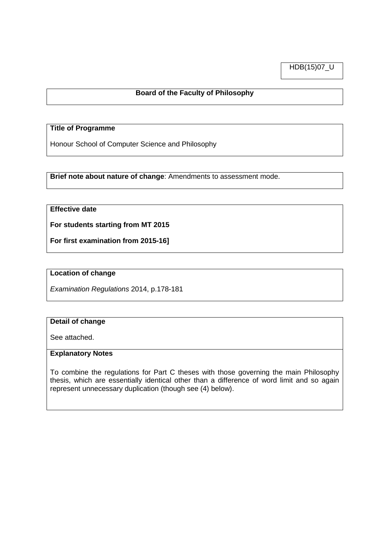HDB(15)07\_U

## **Board of the Faculty of Philosophy**

## **Title of Programme**

Honour School of Computer Science and Philosophy

**Brief note about nature of change**: Amendments to assessment mode.

# **Effective date**

**For students starting from MT 2015**

**For first examination from 2015-16]**

## **Location of change**

*Examination Regulations* 2014, p.178-181

## **Detail of change**

See attached.

## **Explanatory Notes**

To combine the regulations for Part C theses with those governing the main Philosophy thesis, which are essentially identical other than a difference of word limit and so again represent unnecessary duplication (though see (4) below).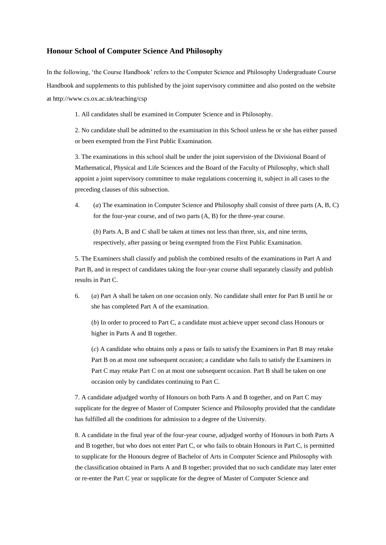### **Honour School of Computer Science And Philosophy**

In the following, 'the Course Handbook' refers to the Computer Science and Philosophy Undergraduate Course Handbook and supplements to this published by the joint supervisory committee and also posted on the website at http://www.cs.ox.ac.uk/teaching/csp

1. All candidates shall be examined in Computer Science and in Philosophy.

2. No candidate shall be admitted to the examination in this School unless he or she has either passed or been exempted from the First Public Examination.

3. The examinations in this school shall be under the joint supervision of the Divisional Board of Mathematical, Physical and Life Sciences and the Board of the Faculty of Philosophy, which shall appoint a joint supervisory committee to make regulations concerning it, subject in all cases to the preceding clauses of this subsection.

4. (*a*) The examination in Computer Science and Philosophy shall consist of three parts (A, B, C) for the four-year course, and of two parts (A, B) for the three-year course.

(*b*) Parts A, B and C shall be taken at times not less than three, six, and nine terms, respectively, after passing or being exempted from the First Public Examination.

5. The Examiners shall classify and publish the combined results of the examinations in Part A and Part B, and in respect of candidates taking the four-year course shall separately classify and publish results in Part C.

6. (*a*) Part A shall be taken on one occasion only. No candidate shall enter for Part B until he or she has completed Part A of the examination.

(*b*) In order to proceed to Part C, a candidate must achieve upper second class Honours or higher in Parts A and B together.

(*c*) A candidate who obtains only a pass or fails to satisfy the Examiners in Part B may retake Part B on at most one subsequent occasion; a candidate who fails to satisfy the Examiners in Part C may retake Part C on at most one subsequent occasion. Part B shall be taken on one occasion only by candidates continuing to Part C.

7. A candidate adjudged worthy of Honours on both Parts A and B together, and on Part C may supplicate for the degree of Master of Computer Science and Philosophy provided that the candidate has fulfilled all the conditions for admission to a degree of the University.

8. A candidate in the final year of the four-year course, adjudged worthy of Honours in both Parts A and B together, but who does not enter Part C, or who fails to obtain Honours in Part C, is permitted to supplicate for the Honours degree of Bachelor of Arts in Computer Science and Philosophy with the classification obtained in Parts A and B together; provided that no such candidate may later enter or re-enter the Part C year or supplicate for the degree of Master of Computer Science and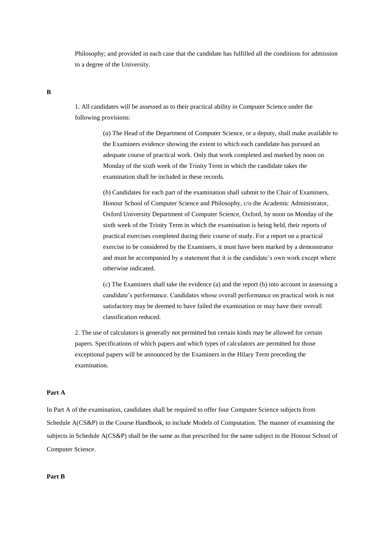Philosophy; and provided in each case that the candidate has fulfilled all the conditions for admission to a degree of the University.

#### **B**

1. All candidates will be assessed as to their practical ability in Computer Science under the following provisions:

> (*a*) The Head of the Department of Computer Science, or a deputy, shall make available to the Examiners evidence showing the extent to which each candidate has pursued an adequate course of practical work. Only that work completed and marked by noon on Monday of the sixth week of the Trinity Term in which the candidate takes the examination shall be included in these records.

> (*b*) Candidates for each part of the examination shall submit to the Chair of Examiners, Honour School of Computer Science and Philosophy, c/o the Academic Administrator, Oxford University Department of Computer Science, Oxford, by noon on Monday of the sixth week of the Trinity Term in which the examination is being held, their reports of practical exercises completed during their course of study. For a report on a practical exercise to be considered by the Examiners, it must have been marked by a demonstrator and must be accompanied by a statement that it is the candidate's own work except where otherwise indicated.

> (*c*) The Examiners shall take the evidence (a) and the report (b) into account in assessing a candidate's performance. Candidates whose overall performance on practical work is not satisfactory may be deemed to have failed the examination or may have their overall classification reduced.

2. The use of calculators is generally not permitted but certain kinds may be allowed for certain papers. Specifications of which papers and which types of calculators are permitted for those exceptional papers will be announced by the Examiners in the Hilary Term preceding the examination.

### **Part A**

In Part A of the examination, candidates shall be required to offer four Computer Science subjects from Schedule A(CS&P) in the Course Handbook, to include Models of Computation. The manner of examining the subjects in Schedule A(CS&P) shall be the same as that prescribed for the same subject in the Honour School of Computer Science.

#### **Part B**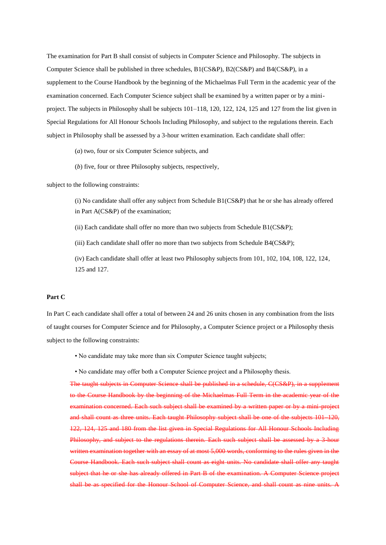The examination for Part B shall consist of subjects in Computer Science and Philosophy. The subjects in Computer Science shall be published in three schedules, B1(CS&P), B2(CS&P) and B4(CS&P), in a supplement to the Course Handbook by the beginning of the Michaelmas Full Term in the academic year of the examination concerned. Each Computer Science subject shall be examined by a written paper or by a miniproject. The subjects in Philosophy shall be subjects 101–118, 120, 122, 124, 125 and 127 from the list given in Special Regulations for All Honour Schools Including Philosophy, and subject to the regulations therein. Each subject in Philosophy shall be assessed by a 3-hour written examination. Each candidate shall offer:

(*a*) two, four or six Computer Science subjects, and

(*b*) five, four or three Philosophy subjects, respectively,

subject to the following constraints:

- (i) No candidate shall offer any subject from Schedule B1(CS&P) that he or she has already offered in Part A(CS&P) of the examination;
- (ii) Each candidate shall offer no more than two subjects from Schedule  $B1(CS\&P)$ ;
- (iii) Each candidate shall offer no more than two subjects from Schedule B4(CS&P);
- (iv) Each candidate shall offer at least two Philosophy subjects from 101, 102, 104, 108, 122, 124, 125 and 127.

### **Part C**

In Part C each candidate shall offer a total of between 24 and 26 units chosen in any combination from the lists of taught courses for Computer Science and for Philosophy, a Computer Science project or a Philosophy thesis subject to the following constraints:

- No candidate may take more than six Computer Science taught subjects;
- No candidate may offer both a Computer Science project and a Philosophy thesis.

The taught subjects in Computer Science shall be published in a schedule, C(CS&P), in a supplement to the Course Handbook by the beginning of the Michaelmas Full Term in the academic year of the examination concerned. Each such subject shall be examined by a written paper or by a mini-project and shall count as three units. Each taught Philosophy subject shall be one of the subjects 101–120, 122, 124, 125 and 180 from the list given in Special Regulations for All Honour Schools Including Philosophy, and subject to the regulations therein. Each such subject shall be assessed by a 3-hour written examination together with an essay of at most 5,000 words, conforming to the rules given in the Course Handbook. Each such subject shall count as eight units. No candidate shall offer any taught subject that he or she has already offered in Part B of the examination. A Computer Science project shall be as specified for the Honour School of Computer Science, and shall count as nine units. A